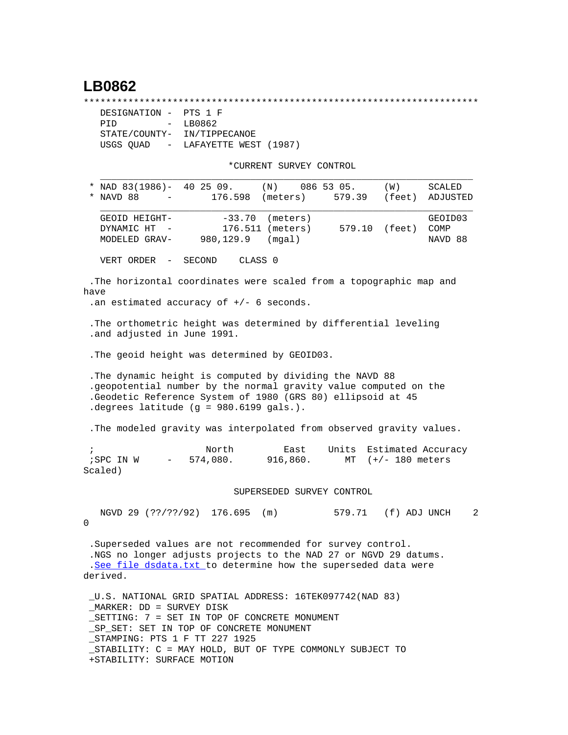## **LB0862**

\*\*\*\*\*\*\*\*\*\*\*\*\*\*\*\*\*\*\*\*\*\*\*\*\*\*\*\*\*\*\*\*\*\*\*\*\*\*\*\*\*\*\*\*\*\*\*\*\*\*\*\*\*\*\*\*\*\*\*\*\*\*\*\*\*\*\*\*\*\*\*

| DESIGNATION - PTS 1 F       |                                   |
|-----------------------------|-----------------------------------|
| PTD.                        | $-$ LB0862                        |
| STATE/COUNTY- IN/TIPPECANOE |                                   |
|                             | USGS OUAD - LAFAYETTE WEST (1987) |

+STABILITY: SURFACE MOTION

\*CURRENT SURVEY CONTROL

| * NAD 83(1986)-<br>40 25 09. (N)<br>086 53 05.                                                                                                                                                                                                                                | <b>SCALED</b><br>(W)                        |   |
|-------------------------------------------------------------------------------------------------------------------------------------------------------------------------------------------------------------------------------------------------------------------------------|---------------------------------------------|---|
| * NAVD 88<br>176.598 (meters)                                                                                                                                                                                                                                                 | (feet)<br>579.39<br>ADJUSTED                |   |
| $-33.70$<br>(meters)<br>GEOID HEIGHT-<br>176.511 (meters)<br>DYNAMIC HT<br>980,129.9<br>(mqal)<br>MODELED GRAV-                                                                                                                                                               | GEOID03<br>579.10 (feet)<br>COMP<br>NAVD 88 |   |
| CLASS 0<br>VERT ORDER -<br>SECOND                                                                                                                                                                                                                                             |                                             |   |
| .The horizontal coordinates were scaled from a topographic map and<br>have<br>.an estimated accuracy of $+/-$ 6 seconds.                                                                                                                                                      |                                             |   |
| . The orthometric height was determined by differential leveling<br>.and adjusted in June 1991.                                                                                                                                                                               |                                             |   |
| . The geoid height was determined by GEOID03.                                                                                                                                                                                                                                 |                                             |   |
| The dynamic height is computed by dividing the NAVD 88<br>.geopotential number by the normal gravity value computed on the<br>.Geodetic Reference System of 1980 (GRS 80) ellipsoid at 45<br>.degrees latitude (g = 980.6199 gals.).                                          |                                             |   |
| . The modeled gravity was interpolated from observed gravity values.                                                                                                                                                                                                          |                                             |   |
| North<br>East<br>Units<br>$\ddot{i}$<br>574,080.<br>916,860.<br>;SPC IN W<br>$\sim$ 100 $\mu$<br>Scaled)                                                                                                                                                                      | Estimated Accuracy<br>MT $(+/- 180$ meters  |   |
| SUPERSEDED SURVEY CONTROL                                                                                                                                                                                                                                                     |                                             |   |
| NGVD 29 (??/??/92) 176.695 (m)<br>$\Omega$                                                                                                                                                                                                                                    | 579.71 (f) ADJ UNCH                         | 2 |
| .Superseded values are not recommended for survey control.<br>.NGS no longer adjusts projects to the NAD 27 or NGVD 29 datums.<br>.See file dsdata.txt to determine how the superseded data were<br>derived.                                                                  |                                             |   |
| U.S. NATIONAL GRID SPATIAL ADDRESS: 16TEK097742(NAD 83)<br>MARKER: DD = SURVEY DISK<br>_SETTING: 7 = SET IN TOP OF CONCRETE MONUMENT<br>SP SET: SET IN TOP OF CONCRETE MONUMENT<br>_STAMPING: PTS 1 F TT 227 1925<br>STABILITY: C = MAY HOLD, BUT OF TYPE COMMONLY SUBJECT TO |                                             |   |